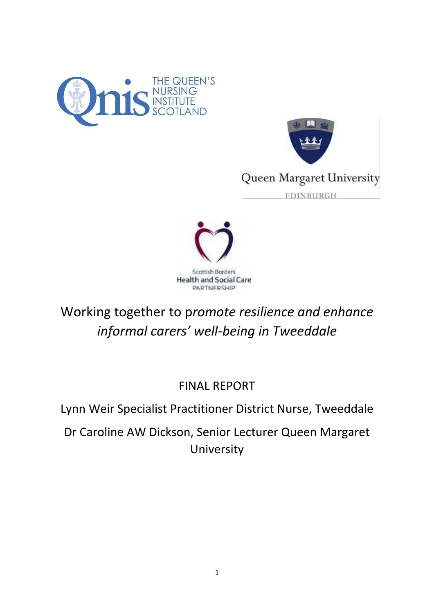





Working together to p*romote resilience and enhance informal carers' well-being in Tweeddale* 

FINAL REPORT

Lynn Weir Specialist Practitioner District Nurse, Tweeddale

Dr Caroline AW Dickson, Senior Lecturer Queen Margaret University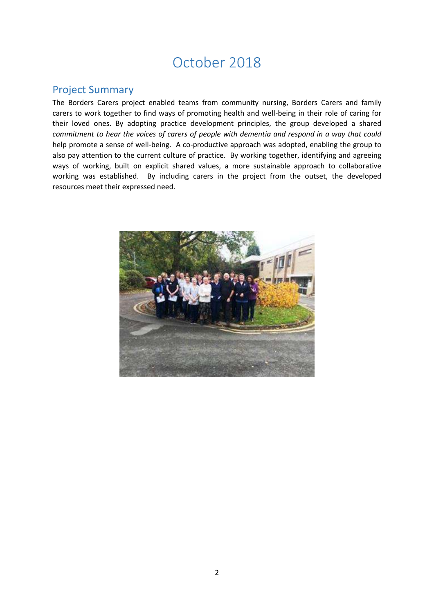# October 2018

## <span id="page-1-0"></span>Project Summary

The Borders Carers project enabled teams from community nursing, Borders Carers and family carers to work together to find ways of promoting health and well-being in their role of caring for their loved ones. By adopting practice development principles, the group developed a shared *commitment to hear the voices of carers of people with dementia and respond in a way that could* help promote a sense of well-being. A co-productive approach was adopted, enabling the group to also pay attention to the current culture of practice. By working together, identifying and agreeing ways of working, built on explicit shared values, a more sustainable approach to collaborative working was established. By including carers in the project from the outset, the developed resources meet their expressed need.

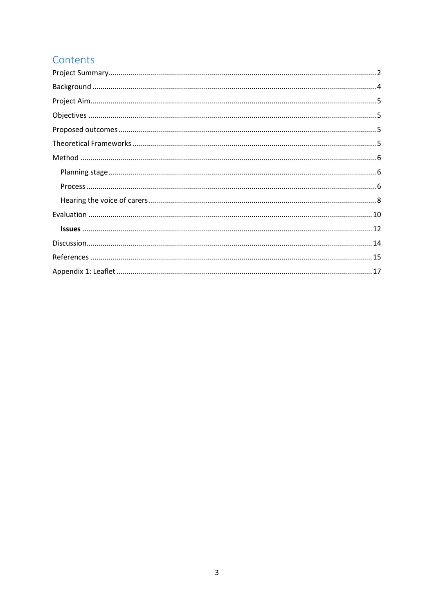## Contents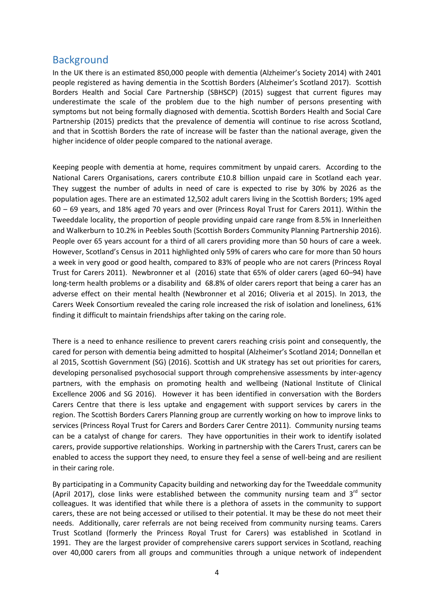### <span id="page-3-0"></span>**Background**

In the UK there is an estimated 850,000 people with dementia (Alzheimer's Society 2014) with 2401 people registered as having dementia in the Scottish Borders (Alzheimer's Scotland 2017). Scottish Borders Health and Social Care Partnership (SBHSCP) (2015) suggest that current figures may underestimate the scale of the problem due to the high number of persons presenting with symptoms but not being formally diagnosed with dementia. Scottish Borders Health and Social Care Partnership (2015) predicts that the prevalence of dementia will continue to rise across Scotland, and that in Scottish Borders the rate of increase will be faster than the national average, given the higher incidence of older people compared to the national average.

Keeping people with dementia at home, requires commitment by unpaid carers. According to the National Carers Organisations, carers contribute £10.8 billion unpaid care in Scotland each year. They suggest the number of adults in need of care is expected to rise by 30% by 2026 as the population ages. There are an estimated 12,502 adult carers living in the Scottish Borders; 19% aged 60 – 69 years, and 18% aged 70 years and over (Princess Royal Trust for Carers 2011). Within the Tweeddale locality, the proportion of people providing unpaid care range from 8.5% in Innerleithen and Walkerburn to 10.2% in Peebles South (Scottish Borders Community Planning Partnership 2016). People over 65 years account for a third of all carers providing more than 50 hours of care a week. However, Scotland's Census in 2011 highlighted only 59% of carers who care for more than 50 hours a week in very good or good health, compared to 83% of people who are not carers (Princess Royal Trust for Carers 2011). Newbronner et al (2016) state that 65% of older carers (aged 60–94) have long-term health problems or a disability and 68.8% of older carers report that being a carer has an adverse effect on their mental health (Newbronner et al 2016; Oliveria et al 2015). In 2013, the Carers Week Consortium revealed the caring role increased the risk of isolation and loneliness, 61% finding it difficult to maintain friendships after taking on the caring role.

There is a need to enhance resilience to prevent carers reaching crisis point and consequently, the cared for person with dementia being admitted to hospital (Alzheimer's Scotland 2014; Donnellan et al 2015, Scottish Government (SG) (2016). Scottish and UK strategy has set out priorities for carers, developing personalised psychosocial support through comprehensive assessments by inter-agency partners, with the emphasis on promoting health and wellbeing (National Institute of Clinical Excellence 2006 and SG 2016). However it has been identified in conversation with the Borders Carers Centre that there is less uptake and engagement with support services by carers in the region. The Scottish Borders Carers Planning group are currently working on how to improve links to services (Princess Royal Trust for Carers and Borders Carer Centre 2011). Community nursing teams can be a catalyst of change for carers. They have opportunities in their work to identify isolated carers, provide supportive relationships. Working in partnership with the Carers Trust, carers can be enabled to access the support they need, to ensure they feel a sense of well-being and are resilient in their caring role.

By participating in a Community Capacity building and networking day for the Tweeddale community (April 2017), close links were established between the community nursing team and  $3<sup>rd</sup>$  sector colleagues. It was identified that while there is a plethora of assets in the community to support carers, these are not being accessed or utilised to their potential. It may be these do not meet their needs. Additionally, carer referrals are not being received from community nursing teams. Carers Trust Scotland (formerly the Princess Royal Trust for Carers) was established in Scotland in 1991. They are the largest provider of comprehensive carers support services in Scotland, reaching over 40,000 carers from all groups and communities through a unique network of independent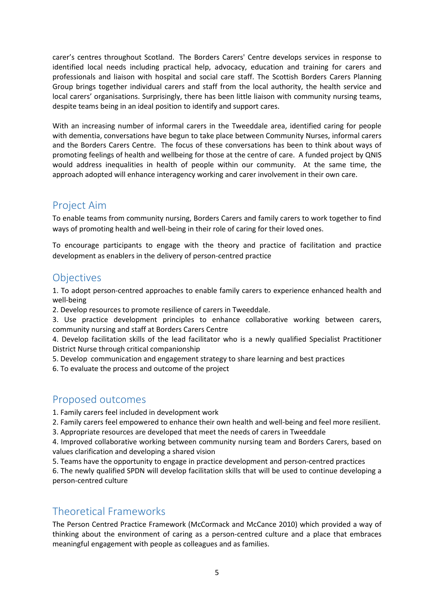carer's centres throughout Scotland. The Borders Carers' Centre develops services in response to identified local needs including practical help, advocacy, education and training for carers and professionals and liaison with hospital and social care staff. The Scottish Borders Carers Planning Group brings together individual carers and staff from the local authority, the health service and local carers' organisations. Surprisingly, there has been little liaison with community nursing teams, despite teams being in an ideal position to identify and support cares.

With an increasing number of informal carers in the Tweeddale area, identified caring for people with dementia, conversations have begun to take place between Community Nurses, informal carers and the Borders Carers Centre. The focus of these conversations has been to think about ways of promoting feelings of health and wellbeing for those at the centre of care. A funded project by QNIS would address inequalities in health of people within our community. At the same time, the approach adopted will enhance interagency working and carer involvement in their own care.

## <span id="page-4-0"></span>Project Aim

To enable teams from community nursing, Borders Carers and family carers to work together to find ways of promoting health and well-being in their role of caring for their loved ones.

To encourage participants to engage with the theory and practice of facilitation and practice development as enablers in the delivery of person-centred practice

### <span id="page-4-1"></span>**Objectives**

1. To adopt person-centred approaches to enable family carers to experience enhanced health and well-being

2. Develop resources to promote resilience of carers in Tweeddale.

3. Use practice development principles to enhance collaborative working between carers, community nursing and staff at Borders Carers Centre

4. Develop facilitation skills of the lead facilitator who is a newly qualified Specialist Practitioner District Nurse through critical companionship

5. Develop communication and engagement strategy to share learning and best practices

6. To evaluate the process and outcome of the project

## <span id="page-4-2"></span>Proposed outcomes

1. Family carers feel included in development work

2. Family carers feel empowered to enhance their own health and well-being and feel more resilient.

3. Appropriate resources are developed that meet the needs of carers in Tweeddale

4. Improved collaborative working between community nursing team and Borders Carers, based on values clarification and developing a shared vision

5. Teams have the opportunity to engage in practice development and person-centred practices

6. The newly qualified SPDN will develop facilitation skills that will be used to continue developing a person-centred culture

### <span id="page-4-3"></span>Theoretical Frameworks

The Person Centred Practice Framework (McCormack and McCance 2010) which provided a way of thinking about the environment of caring as a person-centred culture and a place that embraces meaningful engagement with people as colleagues and as families.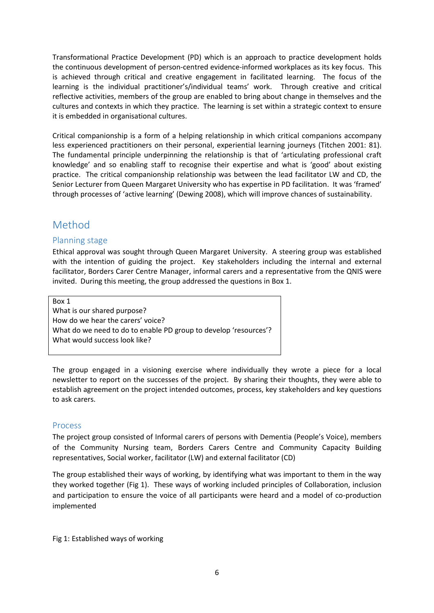Transformational Practice Development (PD) which is an approach to practice development holds the continuous development of person-centred evidence-informed workplaces as its key focus. This is achieved through critical and creative engagement in facilitated learning. The focus of the learning is the individual practitioner's/individual teams' work. Through creative and critical reflective activities, members of the group are enabled to bring about change in themselves and the cultures and contexts in which they practice. The learning is set within a strategic context to ensure it is embedded in organisational cultures.

Critical companionship is a form of a helping relationship in which critical companions accompany less experienced practitioners on their personal, experiential learning journeys (Titchen 2001: 81). The fundamental principle underpinning the relationship is that of 'articulating professional craft knowledge' and so enabling staff to recognise their expertise and what is 'good' about existing practice. The critical companionship relationship was between the lead facilitator LW and CD, the Senior Lecturer from Queen Margaret University who has expertise in PD facilitation. It was 'framed' through processes of 'active learning' (Dewing 2008), which will improve chances of sustainability.

## <span id="page-5-0"></span>Method

### <span id="page-5-1"></span>Planning stage

Ethical approval was sought through Queen Margaret University. A steering group was established with the intention of guiding the project. Key stakeholders including the internal and external facilitator, Borders Carer Centre Manager, informal carers and a representative from the QNIS were invited. During this meeting, the group addressed the questions in Box 1.

Box 1

What is our shared purpose? How do we hear the carers' voice? What do we need to do to enable PD group to develop 'resources'? What would success look like?

The group engaged in a visioning exercise where individually they wrote a piece for a local newsletter to report on the successes of the project. By sharing their thoughts, they were able to establish agreement on the project intended outcomes, process, key stakeholders and key questions to ask carers.

#### <span id="page-5-2"></span>Process

The project group consisted of Informal carers of persons with Dementia (People's Voice), members of the Community Nursing team, Borders Carers Centre and Community Capacity Building representatives, Social worker, facilitator (LW) and external facilitator (CD)

The group established their ways of working, by identifying what was important to them in the way they worked together (Fig 1). These ways of working included principles of Collaboration, inclusion and participation to ensure the voice of all participants were heard and a model of co-production implemented

Fig 1: Established ways of working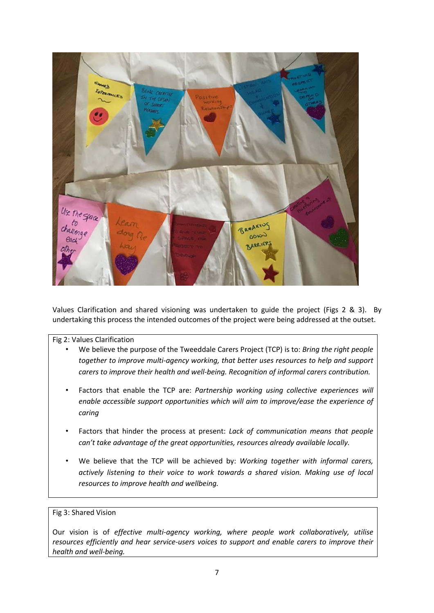

Values Clarification and shared visioning was undertaken to guide the project (Figs 2 & 3). By undertaking this process the intended outcomes of the project were being addressed at the outset.

#### Fig 2: Values Clarification

- We believe the purpose of the Tweeddale Carers Project (TCP) is to: *Bring the right people together to improve multi-agency working, that better uses resources to help and support carers to improve their health and well-being. Recognition of informal carers contribution.*
- Factors that enable the TCP are: *Partnership working using collective experiences will enable accessible support opportunities which will aim to improve/ease the experience of caring*
- Factors that hinder the process at present: *Lack of communication means that people can't* take advantage of the great opportunities, resources already available locally.
- We believe that the TCP will be achieved by: *Working together with informal carers, actively listening to their voice to work towards a shared vision. Making use of local resources to improve health and wellbeing.*

#### Fig 3: Shared Vision

Our vision is of *effective multi-agency working, where people work collaboratively, utilise resources efficiently and hear service-users voices to support and enable carers to improve their health and well-being.*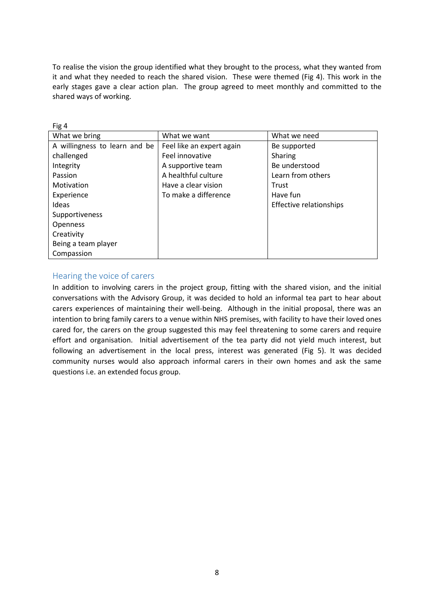To realise the vision the group identified what they brought to the process, what they wanted from it and what they needed to reach the shared vision. These were themed (Fig 4). This work in the early stages gave a clear action plan. The group agreed to meet monthly and committed to the shared ways of working.

| Fig 4                         |                           |                         |
|-------------------------------|---------------------------|-------------------------|
| What we bring                 | What we want              | What we need            |
| A willingness to learn and be | Feel like an expert again | Be supported            |
| challenged                    | Feel innovative           | Sharing                 |
| Integrity                     | A supportive team         | Be understood           |
| Passion                       | A healthful culture       | Learn from others       |
| Motivation                    | Have a clear vision       | Trust                   |
| Experience                    | To make a difference      | Have fun                |
| Ideas                         |                           | Effective relationships |
| Supportiveness                |                           |                         |
| <b>Openness</b>               |                           |                         |
| Creativity                    |                           |                         |
| Being a team player           |                           |                         |
| Compassion                    |                           |                         |

### <span id="page-7-0"></span>Hearing the voice of carers

In addition to involving carers in the project group, fitting with the shared vision, and the initial conversations with the Advisory Group, it was decided to hold an informal tea part to hear about carers experiences of maintaining their well-being. Although in the initial proposal, there was an intention to bring family carers to a venue within NHS premises, with facility to have their loved ones cared for, the carers on the group suggested this may feel threatening to some carers and require effort and organisation. Initial advertisement of the tea party did not yield much interest, but following an advertisement in the local press, interest was generated (Fig 5). It was decided community nurses would also approach informal carers in their own homes and ask the same questions i.e. an extended focus group.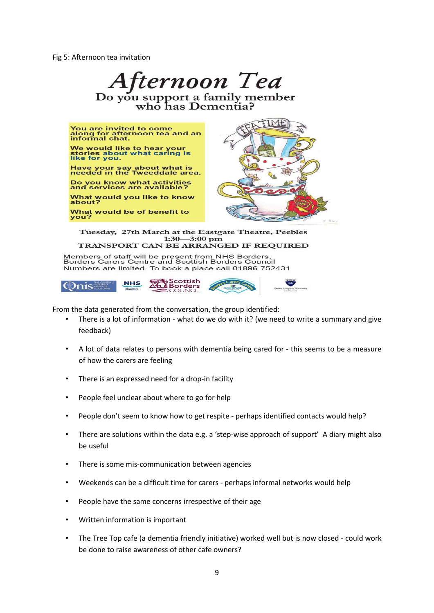Fig 5: Afternoon tea invitation



Members of staff will be present from NHS Borders,<br>Borders Carers Centre and Scottish Borders Council Numbers are limited. To book a place call 01896 752431



From the data generated from the conversation, the group identified:

- There is a lot of information what do we do with it? (we need to write a summary and give feedback)
- A lot of data relates to persons with dementia being cared for this seems to be a measure of how the carers are feeling
- There is an expressed need for a drop-in facility
- People feel unclear about where to go for help
- People don't seem to know how to get respite perhaps identified contacts would help?
- There are solutions within the data e.g. a 'step-wise approach of support' A diary might also be useful
- There is some mis-communication between agencies
- Weekends can be a difficult time for carers perhaps informal networks would help
- People have the same concerns irrespective of their age
- Written information is important
- The Tree Top cafe (a dementia friendly initiative) worked well but is now closed could work be done to raise awareness of other cafe owners?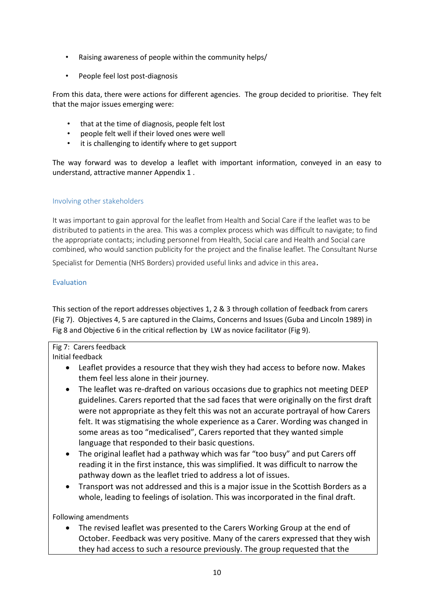- Raising awareness of people within the community helps/
- People feel lost post-diagnosis

From this data, there were actions for different agencies. The group decided to prioritise. They felt that the major issues emerging were:

- that at the time of diagnosis, people felt lost
- people felt well if their loved ones were well
- it is challenging to identify where to get support

The way forward was to develop a leaflet with important information, conveyed in an easy to understand, attractive manner Appendix 1 .

#### <span id="page-9-0"></span>Involving other stakeholders

It was important to gain approval for the leaflet from Health and Social Care if the leaflet was to be distributed to patients in the area. This was a complex process which was difficult to navigate; to find the appropriate contacts; including personnel from Health, Social care and Health and Social care combined, who would sanction publicity for the project and the finalise leaflet. The Consultant Nurse

Specialist for Dementia (NHS Borders) provided useful links and advice in this area.

#### Evaluation

This section of the report addresses objectives 1, 2 & 3 through collation of feedback from carers (Fig 7). Objectives 4, 5 are captured in the Claims, Concerns and Issues (Guba and Lincoln 1989) in Fig 8 and Objective 6 in the critical reflection by LW as novice facilitator (Fig 9).

## Fig 7: Carers feedback

- Initial feedback
	- Leaflet provides a resource that they wish they had access to before now. Makes them feel less alone in their journey.
	- The leaflet was re-drafted on various occasions due to graphics not meeting DEEP guidelines. Carers reported that the sad faces that were originally on the first draft were not appropriate as they felt this was not an accurate portrayal of how Carers felt. It was stigmatising the whole experience as a Carer. Wording was changed in some areas as too "medicalised", Carers reported that they wanted simple language that responded to their basic questions.
	- The original leaflet had a pathway which was far "too busy" and put Carers off reading it in the first instance, this was simplified. It was difficult to narrow the pathway down as the leaflet tried to address a lot of issues.
	- Transport was not addressed and this is a major issue in the Scottish Borders as a whole, leading to feelings of isolation. This was incorporated in the final draft.

Following amendments

 The revised leaflet was presented to the Carers Working Group at the end of October. Feedback was very positive. Many of the carers expressed that they wish they had access to such a resource previously. The group requested that the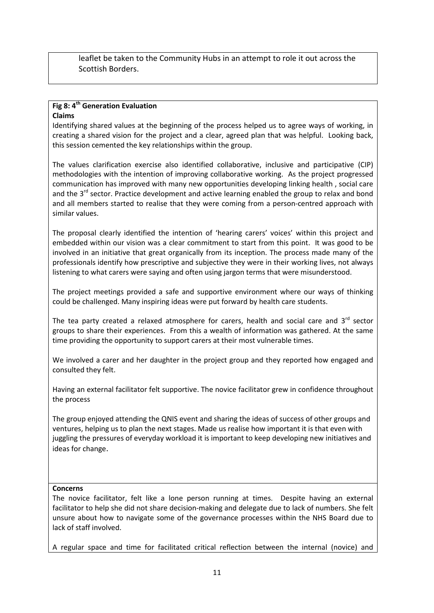leaflet be taken to the Community Hubs in an attempt to role it out across the Scottish Borders.

#### **Fig 8: 4th Generation Evaluation Claims**

Identifying shared values at the beginning of the process helped us to agree ways of working, in creating a shared vision for the project and a clear, agreed plan that was helpful. Looking back, this session cemented the key relationships within the group.

The values clarification exercise also identified collaborative, inclusive and participative (CIP) methodologies with the intention of improving collaborative working. As the project progressed communication has improved with many new opportunities developing linking health , social care and the  $3^{rd}$  sector. Practice development and active learning enabled the group to relax and bond and all members started to realise that they were coming from a person-centred approach with similar values.

The proposal clearly identified the intention of 'hearing carers' voices' within this project and embedded within our vision was a clear commitment to start from this point. It was good to be involved in an initiative that great organically from its inception. The process made many of the professionals identify how prescriptive and subjective they were in their working lives, not always listening to what carers were saying and often using jargon terms that were misunderstood.

The project meetings provided a safe and supportive environment where our ways of thinking could be challenged. Many inspiring ideas were put forward by health care students.

The tea party created a relaxed atmosphere for carers, health and social care and  $3^{rd}$  sector groups to share their experiences. From this a wealth of information was gathered. At the same time providing the opportunity to support carers at their most vulnerable times.

We involved a carer and her daughter in the project group and they reported how engaged and consulted they felt.

Having an external facilitator felt supportive. The novice facilitator grew in confidence throughout the process

The group enjoyed attending the QNIS event and sharing the ideas of success of other groups and ventures, helping us to plan the next stages. Made us realise how important it is that even with juggling the pressures of everyday workload it is important to keep developing new initiatives and ideas for change.

#### **Concerns**

The novice facilitator, felt like a lone person running at times. Despite having an external facilitator to help she did not share decision-making and delegate due to lack of numbers. She felt unsure about how to navigate some of the governance processes within the NHS Board due to lack of staff involved.

A regular space and time for facilitated critical reflection between the internal (novice) and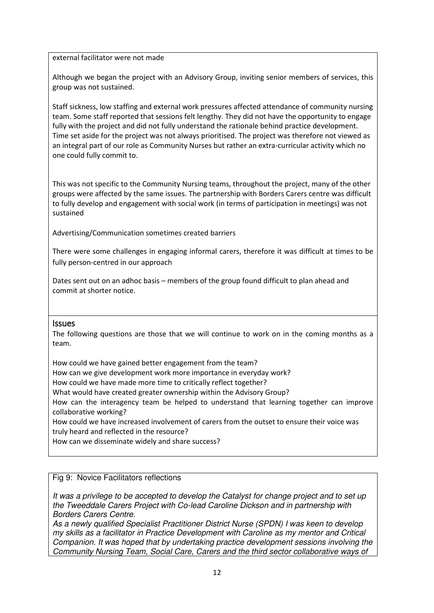#### external facilitator were not made

Although we began the project with an Advisory Group, inviting senior members of services, this group was not sustained.

Staff sickness, low staffing and external work pressures affected attendance of community nursing team. Some staff reported that sessions felt lengthy. They did not have the opportunity to engage fully with the project and did not fully understand the rationale behind practice development. Time set aside for the project was not always prioritised. The project was therefore not viewed as an integral part of our role as Community Nurses but rather an extra-curricular activity which no one could fully commit to.

This was not specific to the Community Nursing teams, throughout the project, many of the other groups were affected by the same issues. The partnership with Borders Carers centre was difficult to fully develop and engagement with social work (in terms of participation in meetings) was not sustained

Advertising/Communication sometimes created barriers

There were some challenges in engaging informal carers, therefore it was difficult at times to be fully person-centred in our approach

Dates sent out on an adhoc basis – members of the group found difficult to plan ahead and commit at shorter notice.

#### <span id="page-11-0"></span>Issues

The following questions are those that we will continue to work on in the coming months as a team.

How could we have gained better engagement from the team? How can we give development work more importance in everyday work? How could we have made more time to critically reflect together? What would have created greater ownership within the Advisory Group? How can the interagency team be helped to understand that learning together can improve collaborative working? How could we have increased involvement of carers from the outset to ensure their voice was truly heard and reflected in the resource?

How can we disseminate widely and share success?

#### Fig 9: Novice Facilitators reflections

*It was a privilege to be accepted to develop the Catalyst for change project and to set up the Tweeddale Carers Project with Co-lead Caroline Dickson and in partnership with Borders Carers Centre.* 

*As a newly qualified Specialist Practitioner District Nurse (SPDN) I was keen to develop my skills as a facilitator in Practice Development with Caroline as my mentor and Critical Companion. It was hoped that by undertaking practice development sessions involving the Community Nursing Team, Social Care, Carers and the third sector collaborative ways of*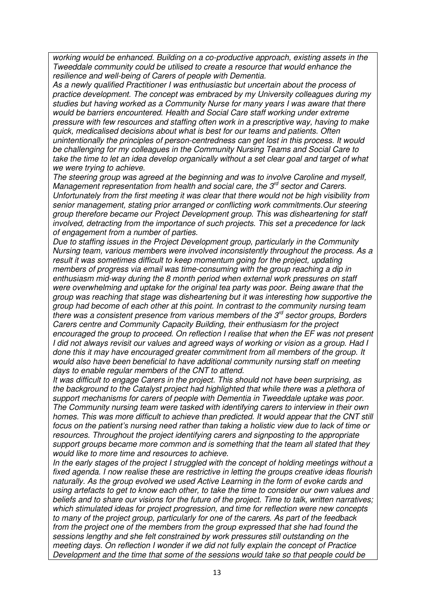*working would be enhanced. Building on a co-productive approach, existing assets in the Tweeddale community could be utilised to create a resource that would enhance the resilience and well-being of Carers of people with Dementia.* 

*As a newly qualified Practitioner I was enthusiastic but uncertain about the process of practice development. The concept was embraced by my University colleagues during my studies but having worked as a Community Nurse for many years I was aware that there would be barriers encountered. Health and Social Care staff working under extreme pressure with few resources and staffing often work in a prescriptive way, having to make quick, medicalised decisions about what is best for our teams and patients. Often unintentionally the principles of person-centredness can get lost in this process. It would be challenging for my colleagues in the Community Nursing Teams and Social Care to take the time to let an idea develop organically without a set clear goal and target of what we were trying to achieve.* 

*The steering group was agreed at the beginning and was to involve Caroline and myself, Management representation from health and social care, the 3rd sector and Carers. Unfortunately from the first meeting it was clear that there would not be high visibility from senior management, stating prior arranged or conflicting work commitments.Our steering group therefore became our Project Development group. This was disheartening for staff involved, detracting from the importance of such projects. This set a precedence for lack of engagement from a number of parties.* 

*Due to staffing issues in the Project Development group, particularly in the Community Nursing team, various members were involved inconsistently throughout the process. As a result it was sometimes difficult to keep momentum going for the project, updating members of progress via email was time-consuming with the group reaching a dip in enthusiasm mid-way during the 8 month period when external work pressures on staff were overwhelming and uptake for the original tea party was poor. Being aware that the group was reaching that stage was disheartening but it was interesting how supportive the group had become of each other at this point. In contrast to the community nursing team there was a consistent presence from various members of the 3rd sector groups, Borders Carers centre and Community Capacity Building, their enthusiasm for the project encouraged the group to proceed. On reflection I realise that when the EF was not present I did not always revisit our values and agreed ways of working or vision as a group. Had I done this it may have encouraged greater commitment from all members of the group. It would also have been beneficial to have additional community nursing staff on meeting days to enable regular members of the CNT to attend.* 

*It was difficult to engage Carers in the project. This should not have been surprising, as the background to the Catalyst project had highlighted that while there was a plethora of support mechanisms for carers of people with Dementia in Tweeddale uptake was poor. The Community nursing team were tasked with identifying carers to interview in their own homes. This was more difficult to achieve than predicted. It would appear that the CNT still focus on the patient's nursing need rather than taking a holistic view due to lack of time or resources. Throughout the project identifying carers and signposting to the appropriate support groups became more common and is something that the team all stated that they would like to more time and resources to achieve.* 

*In the early stages of the project I struggled with the concept of holding meetings without a fixed agenda. I now realise these are restrictive in letting the groups creative ideas flourish naturally. As the group evolved we used Active Learning in the form of evoke cards and using artefacts to get to know each other, to take the time to consider our own values and beliefs and to share our visions for the future of the project. Time to talk, written narratives; which stimulated ideas for project progression, and time for reflection were new concepts to many of the project group, particularly for one of the carers. As part of the feedback from the project one of the members from the group expressed that she had found the sessions lengthy and she felt constrained by work pressures still outstanding on the meeting days. On reflection I wonder if we did not fully explain the concept of Practice Development and the time that some of the sessions would take so that people could be*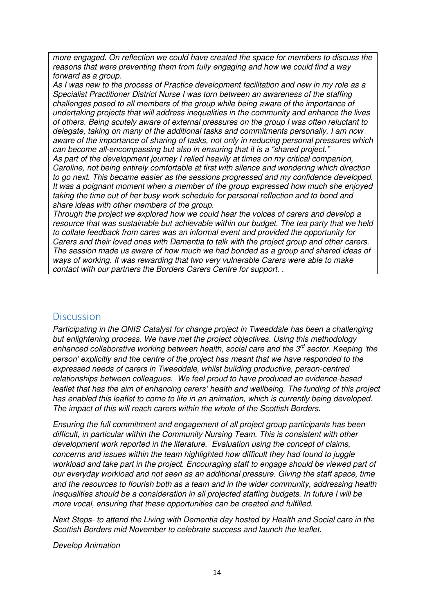*more engaged. On reflection we could have created the space for members to discuss the reasons that were preventing them from fully engaging and how we could find a way forward as a group.* 

*As I was new to the process of Practice development facilitation and new in my role as a Specialist Practitioner District Nurse I was torn between an awareness of the staffing challenges posed to all members of the group while being aware of the importance of undertaking projects that will address inequalities in the community and enhance the lives of others. Being acutely aware of external pressures on the group I was often reluctant to delegate, taking on many of the additional tasks and commitments personally. I am now aware of the importance of sharing of tasks, not only in reducing personal pressures which can become all-encompassing but also in ensuring that it is a "shared project." As part of the development journey I relied heavily at times on my critical companion, Caroline, not being entirely comfortable at first with silence and wondering which direction to go next. This became easier as the sessions progressed and my confidence developed. It was a poignant moment when a member of the group expressed how much she enjoyed taking the time out of her busy work schedule for personal reflection and to bond and share ideas with other members of the group.* 

*Through the project we explored how we could hear the voices of carers and develop a resource that was sustainable but achievable within our budget. The tea party that we held to collate feedback from cares was an informal event and provided the opportunity for Carers and their loved ones with Dementia to talk with the project group and other carers. The session made us aware of how much we had bonded as a group and shared ideas of ways of working. It was rewarding that two very vulnerable Carers were able to make contact with our partners the Borders Carers Centre for support. .* 

### <span id="page-13-0"></span>Discussion

*Participating in the QNIS Catalyst for change project in Tweeddale has been a challenging but enlightening process. We have met the project objectives. Using this methodology enhanced collaborative working between health, social care and the 3rd sector. Keeping 'the person' explicitly and the centre of the project has meant that we have responded to the expressed needs of carers in Tweeddale, whilst building productive, person-centred relationships between colleagues. We feel proud to have produced an evidence-based leaflet that has the aim of enhancing carers' health and wellbeing. The funding of this project has enabled this leaflet to come to life in an animation, which is currently being developed. The impact of this will reach carers within the whole of the Scottish Borders.* 

*Ensuring the full commitment and engagement of all project group participants has been difficult, in particular within the Community Nursing Team. This is consistent with other development work reported in the literature. Evaluation using the concept of claims, concerns and issues within the team highlighted how difficult they had found to juggle workload and take part in the project. Encouraging staff to engage should be viewed part of our everyday workload and not seen as an additional pressure. Giving the staff space, time and the resources to flourish both as a team and in the wider community, addressing health inequalities should be a consideration in all projected staffing budgets. In future I will be more vocal, ensuring that these opportunities can be created and fulfilled.* 

*Next Steps- to attend the Living with Dementia day hosted by Health and Social care in the Scottish Borders mid November to celebrate success and launch the leaflet.* 

*Develop Animation*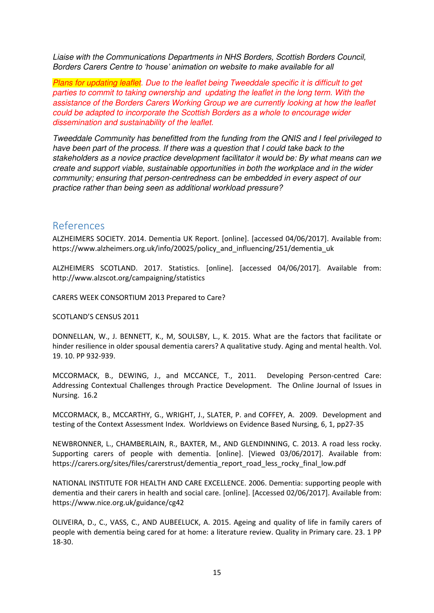*Liaise with the Communications Departments in NHS Borders, Scottish Borders Council, Borders Carers Centre to 'house' animation on website to make available for all*

*Plans for updating leaflet. Due to the leaflet being Tweeddale specific it is difficult to get parties to commit to taking ownership and updating the leaflet in the long term. With the assistance of the Borders Carers Working Group we are currently looking at how the leaflet could be adapted to incorporate the Scottish Borders as a whole to encourage wider dissemination and sustainability of the leaflet.* 

*Tweeddale Community has benefitted from the funding from the QNIS and I feel privileged to have been part of the process. If there was a question that I could take back to the stakeholders as a novice practice development facilitator it would be: By what means can we create and support viable, sustainable opportunities in both the workplace and in the wider community; ensuring that person-centredness can be embedded in every aspect of our practice rather than being seen as additional workload pressure?* 

### <span id="page-14-0"></span>References

ALZHEIMERS SOCIETY. 2014. Dementia UK Report. [online]. [accessed 04/06/2017]. Available from: https://www.alzheimers.org.uk/info/20025/policy\_and\_influencing/251/dementia\_uk

ALZHEIMERS SCOTLAND. 2017. Statistics. [online]. [accessed 04/06/2017]. Available from: http://www.alzscot.org/campaigning/statistics

CARERS WEEK CONSORTIUM 2013 Prepared to Care?

SCOTLAND'S CENSUS 2011

DONNELLAN, W., J. BENNETT, K., M, SOULSBY, L., K. 2015. What are the factors that facilitate or hinder resilience in older spousal dementia carers? A qualitative study. Aging and mental health. Vol. 19. 10. PP 932-939.

MCCORMACK, B., DEWING, J., and MCCANCE, T., 2011. Developing Person-centred Care: Addressing Contextual Challenges through Practice Development. The Online Journal of Issues in Nursing. 16.2

MCCORMACK, B., MCCARTHY, G., WRIGHT, J., SLATER, P. and COFFEY, A. 2009. Development and testing of the Context Assessment Index. Worldviews on Evidence Based Nursing, 6, 1, pp27-35

NEWBRONNER, L., CHAMBERLAIN, R., BAXTER, M., AND GLENDINNING, C. 2013. A road less rocky. Supporting carers of people with dementia. [online]. [Viewed 03/06/2017]. Available from: https://carers.org/sites/files/carerstrust/dementia\_report\_road\_less\_rocky\_final\_low.pdf

NATIONAL INSTITUTE FOR HEALTH AND CARE EXCELLENCE. 2006. Dementia: supporting people with dementia and their carers in health and social care. [online]. [Accessed 02/06/2017]. Available from: https://www.nice.org.uk/guidance/cg42

OLIVEIRA, D., C., VASS, C., AND AUBEELUCK, A. 2015. Ageing and quality of life in family carers of people with dementia being cared for at home: a literature review. Quality in Primary care. 23. 1 PP 18-30.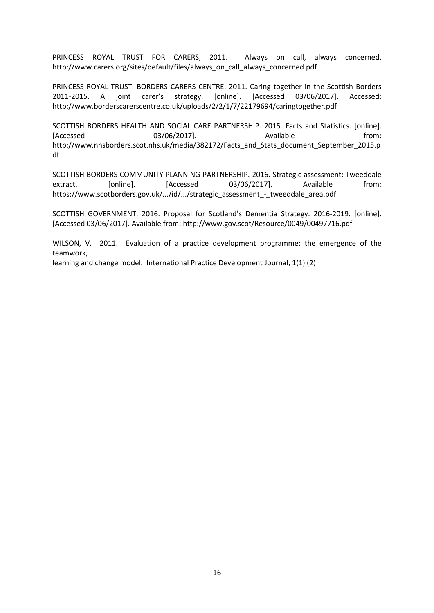PRINCESS ROYAL TRUST FOR CARERS, 2011. Always on call, always concerned. http://www.carers.org/sites/default/files/always\_on\_call\_always\_concerned.pdf

PRINCESS ROYAL TRUST. BORDERS CARERS CENTRE. 2011. Caring together in the Scottish Borders 2011-2015. A joint carer's strategy. [online]. [Accessed 03/06/2017]. Accessed: http://www.borderscarerscentre.co.uk/uploads/2/2/1/7/22179694/caringtogether.pdf

SCOTTISH BORDERS HEALTH AND SOCIAL CARE PARTNERSHIP. 2015. Facts and Statistics. [online]. [Accessed 03/06/2017]. Available from: http://www.nhsborders.scot.nhs.uk/media/382172/Facts\_and\_Stats\_document\_September\_2015.p df

SCOTTISH BORDERS COMMUNITY PLANNING PARTNERSHIP. 2016. Strategic assessment: Tweeddale extract. [online]. [Accessed 03/06/2017]. Available from: https://www.scotborders.gov.uk/.../id/.../strategic\_assessment\_-\_tweeddale\_area.pdf

SCOTTISH GOVERNMENT. 2016. Proposal for Scotland's Dementia Strategy. 2016-2019. [online]. [Accessed 03/06/2017]. Available from: http://www.gov.scot/Resource/0049/00497716.pdf

WILSON, V. 2011. Evaluation of a practice development programme: the emergence of the teamwork,

learning and change model. International Practice Development Journal, 1(1) (2)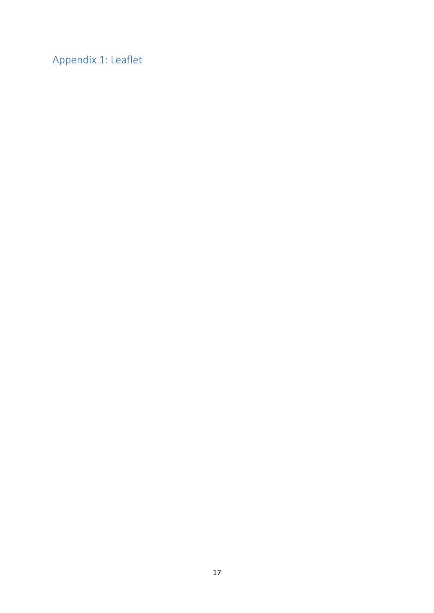<span id="page-16-0"></span>Appendix 1: Leaflet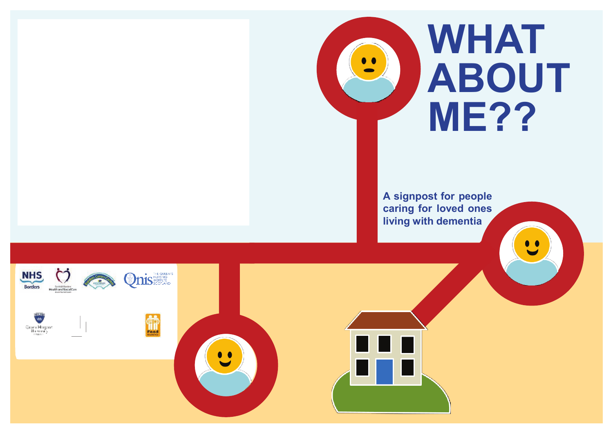

**A signpost for people caring for loved ones living with dementia**



 $\overline{\mathbf{w}}$ Quan Magazet<br>Humoray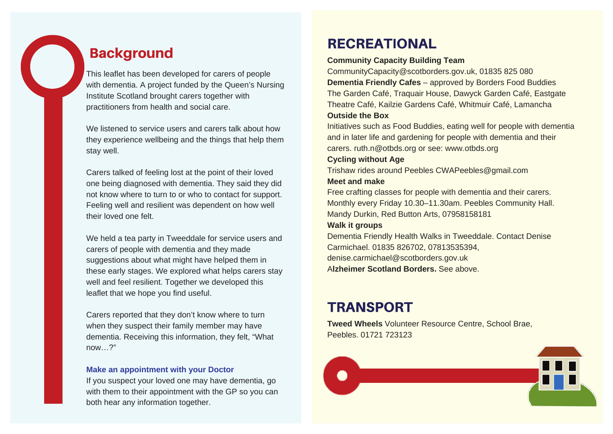# **Background**

This leaflet has been developed for carers of people with dementia. A project funded by the Queen's Nursing Institute Scotland brought carers together with practitioners from health and social care.

We listened to service users and carers talk about how they experience wellbeing and the things that help them stay well.

Carers talked of feeling lost at the point of their loved one being diagnosed with dementia. They said they did not know where to turn to or who to contact for support. Feeling well and resilient was dependent on how well their loved one felt.

We held a tea party in Tweeddale for service users and carers of people with dementia and they made suggestions about what might have helped them in these early stages. We explored what helps carers stay well and feel resilient. Together we developed this leaflet that we hope you find useful.

Carers reported that they don't know where to turn when they suspect their family member may have dementia. Receiving this information, they felt, "What now…?"

#### **Make an appointment with your Doctor**

If you suspect your loved one may have dementia, go with them to their appointment with the GP so you can both hear any information together.

# **RECREATIONAL**

#### **Community Capacity Building Team**

CommunityCapacity@scotborders.gov.uk, 01835 825 080 **Dementia Friendly Cafes** – approved by Borders Food Buddies The Garden Café, Traquair House, Dawyck Garden Café, Eastgate Theatre Café, Kailzie Gardens Café, Whitmuir Café, Lamancha **Outside the Box**

Initiatives such as Food Buddies, eating well for people with dementia and in later life and gardening for people with dementia and their carers. ruth.n@otbds.org or see: www.otbds.org

#### **Cycling without Age**

Trishaw rides around Peebles CWAPeebles@gmail.com **Meet and make** 

Free crafting classes for people with dementia and their carers. Monthly every Friday 10.30–11.30am. Peebles Community Hall. Mandy Durkin, Red Button Arts, 07958158181

#### **Walk it groups**

Dementia Friendly Health Walks in Tweeddale. Contact Denise Carmichael. 01835 826702, 07813535394, denise.carmichael@scotborders.gov.uk A**lzheimer Scotland Borders.** See above.

# **TRANSPORT**

**Tweed Wheels** Volunteer Resource Centre, School Brae, Peebles. 01721 723123

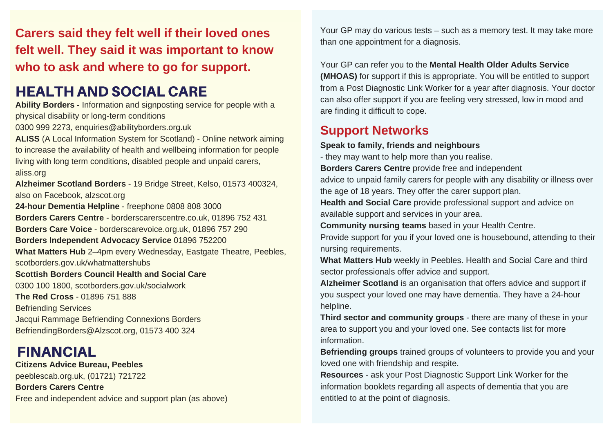**Carers said they felt well if their loved ones felt well. They said it was important to know who to ask and where to go for support.**

# **HEALTH AND SOCIAL CARE**

**Ability Borders -** Information and signposting service for people with a physical disability or long-term conditions

0300 999 2273, enquiries@abilityborders.org.uk

**ALISS** (A Local Information System for Scotland) - Online network aiming to increase the availability of health and wellbeing information for people living with long term conditions, disabled people and unpaid carers, aliss.org

**Alzheimer Scotland Borders** - 19 Bridge Street, Kelso, 01573 400324, also on Facebook, alzscot.org

**24-hour Dementia Helpline** - freephone 0808 808 3000

**Borders Carers Centre** - borderscarerscentre.co.uk, 01896 752 431

**Borders Care Voice** - borderscarevoice.org.uk, 01896 757 290

**Borders Independent Advocacy Service** 01896 752200

**What Matters Hub** 2–4pm every Wednesday, Eastgate Theatre, Peebles,

scotborders.gov.uk/whatmattershubs

### **Scottish Borders Council Health and Social Care**

0300 100 1800, scotborders.gov.uk/socialwork **The Red Cross** - 01896 751 888 Befriending Services Jacqui Rammage Befriending Connexions Borders BefriendingBorders@Alzscot.org, 01573 400 324

# **FINANCIAL**

**Citizens Advice Bureau, Peebles**  peeblescab.org.uk, (01721) 721722 **Borders Carers Centre**  Free and independent advice and support plan (as above) Your GP may do various tests – such as a memory test. It may take more than one appointment for a diagnosis.

Your GP can refer you to the **Mental Health Older Adults Service (MHOAS)** for support if this is appropriate. You will be entitled to support from a Post Diagnostic Link Worker for a year after diagnosis. Your doctor can also offer support if you are feeling very stressed, low in mood and are finding it difficult to cope.

## **Support Networks**

**Speak to family, friends and neighbours** 

- they may want to help more than you realise.

**Borders Carers Centre** provide free and independent

advice to unpaid family carers for people with any disability or illness over the age of 18 years. They offer the carer support plan.

**Health and Social Care** provide professional support and advice on available support and services in your area.

**Community nursing teams** based in your Health Centre.

Provide support for you if your loved one is housebound, attending to their nursing requirements.

**What Matters Hub** weekly in Peebles. Health and Social Care and third sector professionals offer advice and support.

**Alzheimer Scotland** is an organisation that offers advice and support if you suspect your loved one may have dementia. They have a 24-hour helpline.

**Third sector and community groups** - there are many of these in your area to support you and your loved one. See contacts list for more information.

**Befriending groups** trained groups of volunteers to provide you and your loved one with friendship and respite.

**Resources** - ask your Post Diagnostic Support Link Worker for the information booklets regarding all aspects of dementia that you are entitled to at the point of diagnosis.